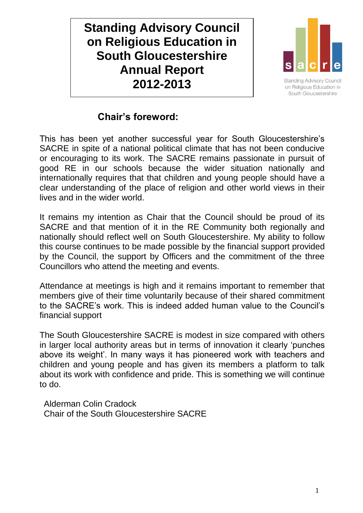**Standing Advisory Council on Religious Education in South Gloucestershire Annual Report 2012-2013**



**Standing Advisory Council** on Religious Education in South Gloucestershire

## **Chair's foreword:**

This has been yet another successful year for South Gloucestershire's SACRE in spite of a national political climate that has not been conducive or encouraging to its work. The SACRE remains passionate in pursuit of good RE in our schools because the wider situation nationally and internationally requires that that children and young people should have a clear understanding of the place of religion and other world views in their lives and in the wider world.

It remains my intention as Chair that the Council should be proud of its SACRE and that mention of it in the RE Community both regionally and nationally should reflect well on South Gloucestershire. My ability to follow this course continues to be made possible by the financial support provided by the Council, the support by Officers and the commitment of the three Councillors who attend the meeting and events.

Attendance at meetings is high and it remains important to remember that members give of their time voluntarily because of their shared commitment to the SACRE's work. This is indeed added human value to the Council's financial support

The South Gloucestershire SACRE is modest in size compared with others in larger local authority areas but in terms of innovation it clearly 'punches above its weight'. In many ways it has pioneered work with teachers and children and young people and has given its members a platform to talk about its work with confidence and pride. This is something we will continue to do.

Alderman Colin Cradock Chair of the South Gloucestershire SACRE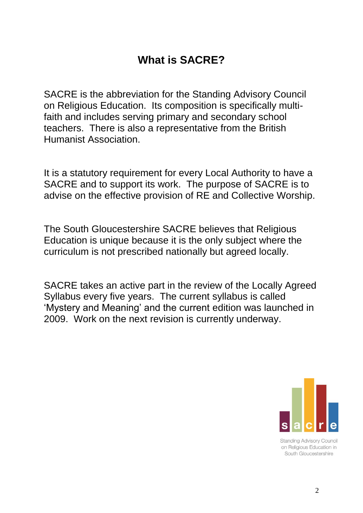# **What is SACRE?**

SACRE is the abbreviation for the Standing Advisory Council on Religious Education. Its composition is specifically multifaith and includes serving primary and secondary school teachers. There is also a representative from the British Humanist Association.

It is a statutory requirement for every Local Authority to have a SACRE and to support its work. The purpose of SACRE is to advise on the effective provision of RE and Collective Worship.

The South Gloucestershire SACRE believes that Religious Education is unique because it is the only subject where the curriculum is not prescribed nationally but agreed locally.

SACRE takes an active part in the review of the Locally Agreed Syllabus every five years. The current syllabus is called 'Mystery and Meaning' and the current edition was launched in 2009. Work on the next revision is currently underway.



**Standing Advisory Council** on Religious Education in South Gloucestershire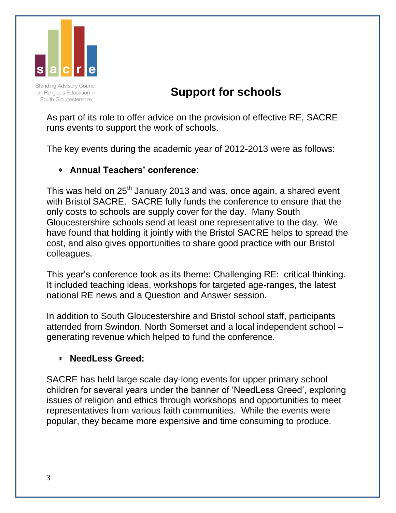

**Standing Advisory Council** on Religious Education in South Gloucestershire

# **Support for schools**

As part of its role to offer advice on the provision of effective RE, SACRE runs events to support the work of schools.

The key events during the academic year of 2012-2013 were as follows:

### **Annual Teachers' conference**:

This was held on 25<sup>th</sup> January 2013 and was, once again, a shared event with Bristol SACRE. SACRE fully funds the conference to ensure that the only costs to schools are supply cover for the day. Many South Gloucestershire schools send at least one representative to the day. We have found that holding it jointly with the Bristol SACRE helps to spread the cost, and also gives opportunities to share good practice with our Bristol colleagues.

This year's conference took as its theme: Challenging RE: critical thinking. It included teaching ideas, workshops for targeted age-ranges, the latest national RE news and a Question and Answer session.

In addition to South Gloucestershire and Bristol school staff, participants attended from Swindon, North Somerset and a local independent school – generating revenue which helped to fund the conference.

#### **NeedLess Greed:**

SACRE has held large scale day-long events for upper primary school children for several years under the banner of 'NeedLess Greed', exploring issues of religion and ethics through workshops and opportunities to meet representatives from various faith communities. While the events were popular, they became more expensive and time consuming to produce.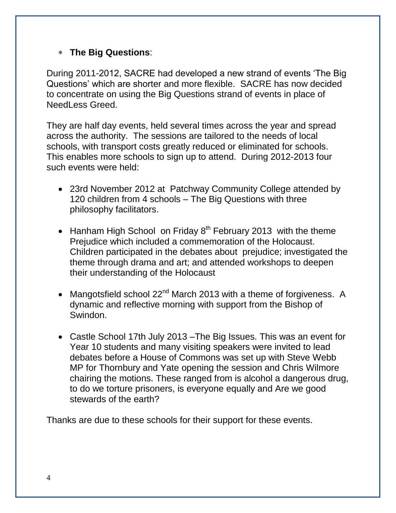#### **The Big Questions**:

During 2011-2012, SACRE had developed a new strand of events 'The Big Questions' which are shorter and more flexible. SACRE has now decided to concentrate on using the Big Questions strand of events in place of NeedLess Greed.

They are half day events, held several times across the year and spread across the authority. The sessions are tailored to the needs of local schools, with transport costs greatly reduced or eliminated for schools. This enables more schools to sign up to attend. During 2012-2013 four such events were held:

- 23rd November 2012 at Patchway Community College attended by 120 children from 4 schools – The Big Questions with three philosophy facilitators.
- Hanham High School on Friday  $8<sup>th</sup>$  February 2013 with the theme Prejudice which included a commemoration of the Holocaust. Children participated in the debates about prejudice; investigated the theme through drama and art; and attended workshops to deepen their understanding of the Holocaust
- Mangotsfield school  $22^{nd}$  March 2013 with a theme of forgiveness. A dynamic and reflective morning with support from the Bishop of Swindon.
- Castle School 17th July 2013 –The Big Issues. This was an event for Year 10 students and many visiting speakers were invited to lead debates before a House of Commons was set up with Steve Webb MP for Thornbury and Yate opening the session and Chris Wilmore chairing the motions. These ranged from is alcohol a dangerous drug, to do we torture prisoners, is everyone equally and Are we good stewards of the earth?

Thanks are due to these schools for their support for these events.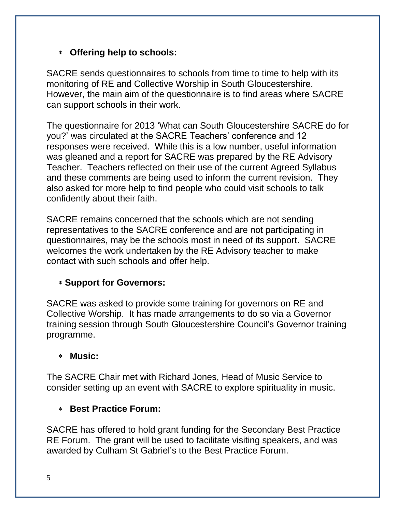### **Offering help to schools:**

SACRE sends questionnaires to schools from time to time to help with its monitoring of RE and Collective Worship in South Gloucestershire. However, the main aim of the questionnaire is to find areas where SACRE can support schools in their work.

The questionnaire for 2013 'What can South Gloucestershire SACRE do for you?' was circulated at the SACRE Teachers' conference and 12 responses were received. While this is a low number, useful information was gleaned and a report for SACRE was prepared by the RE Advisory Teacher. Teachers reflected on their use of the current Agreed Syllabus and these comments are being used to inform the current revision. They also asked for more help to find people who could visit schools to talk confidently about their faith.

SACRE remains concerned that the schools which are not sending representatives to the SACRE conference and are not participating in questionnaires, may be the schools most in need of its support. SACRE welcomes the work undertaken by the RE Advisory teacher to make contact with such schools and offer help.

### **Support for Governors:**

SACRE was asked to provide some training for governors on RE and Collective Worship. It has made arrangements to do so via a Governor training session through South Gloucestershire Council's Governor training programme.

#### **Music:**

The SACRE Chair met with Richard Jones, Head of Music Service to consider setting up an event with SACRE to explore spirituality in music.

### **Best Practice Forum:**

SACRE has offered to hold grant funding for the Secondary Best Practice RE Forum. The grant will be used to facilitate visiting speakers, and was awarded by Culham St Gabriel's to the Best Practice Forum.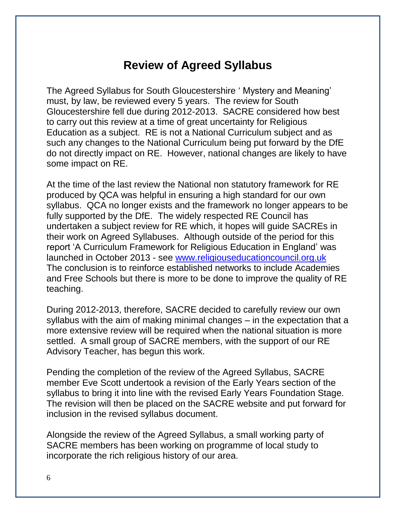## **Review of Agreed Syllabus**

The Agreed Syllabus for South Gloucestershire ' Mystery and Meaning' must, by law, be reviewed every 5 years. The review for South Gloucestershire fell due during 2012-2013. SACRE considered how best to carry out this review at a time of great uncertainty for Religious Education as a subject. RE is not a National Curriculum subject and as such any changes to the National Curriculum being put forward by the DfE do not directly impact on RE. However, national changes are likely to have some impact on RE.

At the time of the last review the National non statutory framework for RE produced by QCA was helpful in ensuring a high standard for our own syllabus. QCA no longer exists and the framework no longer appears to be fully supported by the DfE. The widely respected RE Council has undertaken a subject review for RE which, it hopes will guide SACREs in their work on Agreed Syllabuses. Although outside of the period for this report 'A Curriculum Framework for Religious Education in England' was launched in October 2013 - see [www.religiouseducationcouncil.org.uk](http://www.religiouseducationcouncil.org.uk/) The conclusion is to reinforce established networks to include Academies and Free Schools but there is more to be done to improve the quality of RE teaching.

During 2012-2013, therefore, SACRE decided to carefully review our own syllabus with the aim of making minimal changes – in the expectation that a more extensive review will be required when the national situation is more settled. A small group of SACRE members, with the support of our RE Advisory Teacher, has begun this work.

Pending the completion of the review of the Agreed Syllabus, SACRE member Eve Scott undertook a revision of the Early Years section of the syllabus to bring it into line with the revised Early Years Foundation Stage. The revision will then be placed on the SACRE website and put forward for inclusion in the revised syllabus document.

Alongside the review of the Agreed Syllabus, a small working party of SACRE members has been working on programme of local study to incorporate the rich religious history of our area.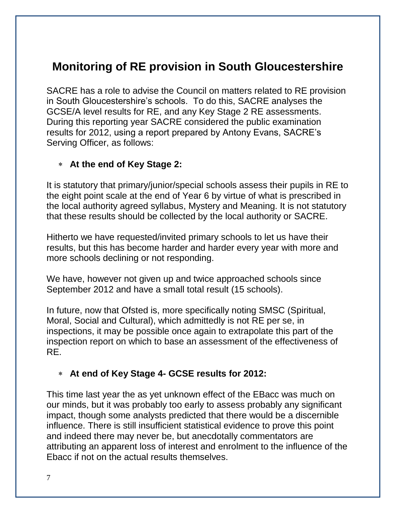# **Monitoring of RE provision in South Gloucestershire**

SACRE has a role to advise the Council on matters related to RE provision in South Gloucestershire's schools. To do this, SACRE analyses the GCSE/A level results for RE, and any Key Stage 2 RE assessments. During this reporting year SACRE considered the public examination results for 2012, using a report prepared by Antony Evans, SACRE's Serving Officer, as follows:

#### **At the end of Key Stage 2:**

It is statutory that primary/junior/special schools assess their pupils in RE to the eight point scale at the end of Year 6 by virtue of what is prescribed in the local authority agreed syllabus, Mystery and Meaning. It is not statutory that these results should be collected by the local authority or SACRE.

Hitherto we have requested/invited primary schools to let us have their results, but this has become harder and harder every year with more and more schools declining or not responding.

We have, however not given up and twice approached schools since September 2012 and have a small total result (15 schools).

In future, now that Ofsted is, more specifically noting SMSC (Spiritual, Moral, Social and Cultural), which admittedly is not RE per se, in inspections, it may be possible once again to extrapolate this part of the inspection report on which to base an assessment of the effectiveness of RE.

### **At end of Key Stage 4- GCSE results for 2012:**

This time last year the as yet unknown effect of the EBacc was much on our minds, but it was probably too early to assess probably any significant impact, though some analysts predicted that there would be a discernible influence. There is still insufficient statistical evidence to prove this point and indeed there may never be, but anecdotally commentators are attributing an apparent loss of interest and enrolment to the influence of the Ebacc if not on the actual results themselves.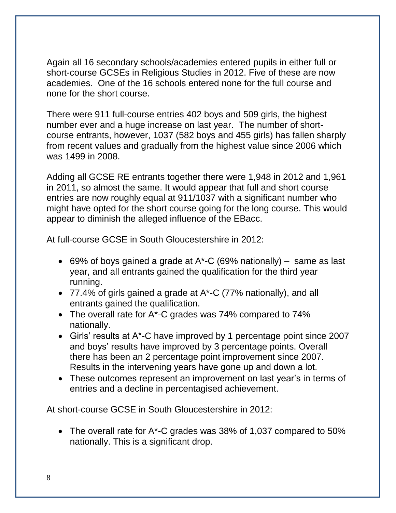Again all 16 secondary schools/academies entered pupils in either full or short-course GCSEs in Religious Studies in 2012. Five of these are now academies. One of the 16 schools entered none for the full course and none for the short course.

There were 911 full-course entries 402 boys and 509 girls, the highest number ever and a huge increase on last year. The number of shortcourse entrants, however, 1037 (582 boys and 455 girls) has fallen sharply from recent values and gradually from the highest value since 2006 which was 1499 in 2008.

Adding all GCSE RE entrants together there were 1,948 in 2012 and 1,961 in 2011, so almost the same. It would appear that full and short course entries are now roughly equal at 911/1037 with a significant number who might have opted for the short course going for the long course. This would appear to diminish the alleged influence of the EBacc.

At full-course GCSE in South Gloucestershire in 2012:

- 69% of boys gained a grade at A\*-C (69% nationally) same as last year, and all entrants gained the qualification for the third year running.
- 77.4% of girls gained a grade at A\*-C (77% nationally), and all entrants gained the qualification.
- The overall rate for A\*-C grades was 74% compared to 74% nationally.
- Girls' results at A\*-C have improved by 1 percentage point since 2007 and boys' results have improved by 3 percentage points. Overall there has been an 2 percentage point improvement since 2007. Results in the intervening years have gone up and down a lot.
- These outcomes represent an improvement on last year's in terms of entries and a decline in percentagised achievement.

At short-course GCSE in South Gloucestershire in 2012:

 The overall rate for A\*-C grades was 38% of 1,037 compared to 50% nationally. This is a significant drop.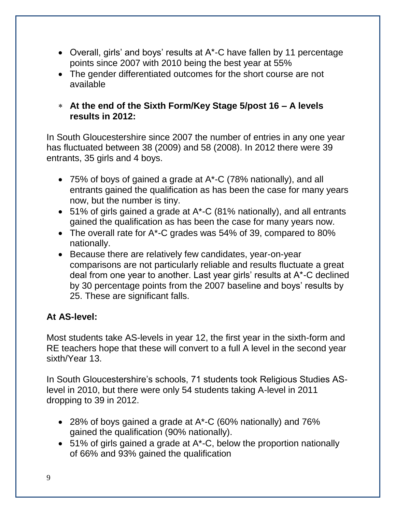- Overall, girls' and boys' results at A\*-C have fallen by 11 percentage points since 2007 with 2010 being the best year at 55%
- The gender differentiated outcomes for the short course are not available
- **At the end of the Sixth Form/Key Stage 5/post 16 – A levels results in 2012:**

In South Gloucestershire since 2007 the number of entries in any one year has fluctuated between 38 (2009) and 58 (2008). In 2012 there were 39 entrants, 35 girls and 4 boys.

- 75% of boys of gained a grade at A\*-C (78% nationally), and all entrants gained the qualification as has been the case for many years now, but the number is tiny.
- 51% of girls gained a grade at A\*-C (81% nationally), and all entrants gained the qualification as has been the case for many years now.
- The overall rate for A\*-C grades was 54% of 39, compared to 80% nationally.
- Because there are relatively few candidates, year-on-year comparisons are not particularly reliable and results fluctuate a great deal from one year to another. Last year girls' results at A\*-C declined by 30 percentage points from the 2007 baseline and boys' results by 25. These are significant falls.

### **At AS-level:**

Most students take AS-levels in year 12, the first year in the sixth-form and RE teachers hope that these will convert to a full A level in the second year sixth/Year 13.

In South Gloucestershire's schools, 71 students took Religious Studies ASlevel in 2010, but there were only 54 students taking A-level in 2011 dropping to 39 in 2012.

- 28% of boys gained a grade at A\*-C (60% nationally) and 76% gained the qualification (90% nationally).
- 51% of girls gained a grade at A<sup>\*</sup>-C, below the proportion nationally of 66% and 93% gained the qualification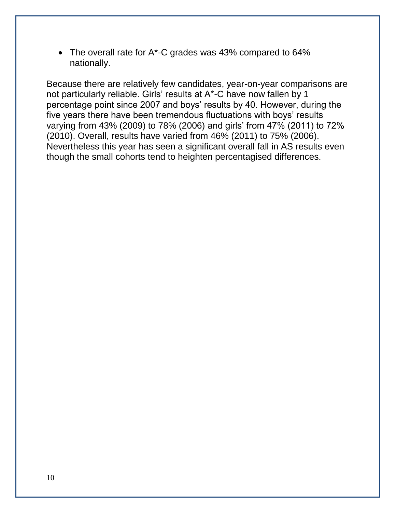• The overall rate for A\*-C grades was 43% compared to 64% nationally.

Because there are relatively few candidates, year-on-year comparisons are not particularly reliable. Girls' results at A\*-C have now fallen by 1 percentage point since 2007 and boys' results by 40. However, during the five years there have been tremendous fluctuations with boys' results varying from 43% (2009) to 78% (2006) and girls' from 47% (2011) to 72% (2010). Overall, results have varied from 46% (2011) to 75% (2006). Nevertheless this year has seen a significant overall fall in AS results even though the small cohorts tend to heighten percentagised differences.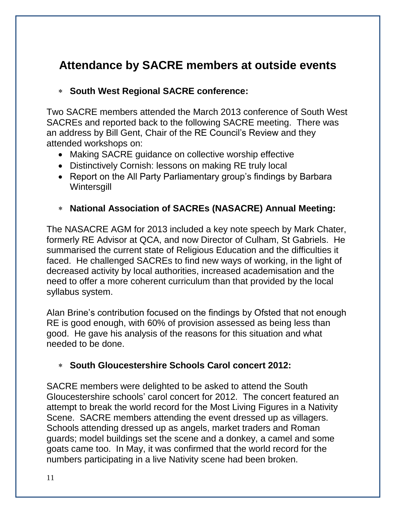# **Attendance by SACRE members at outside events**

#### **South West Regional SACRE conference:**

Two SACRE members attended the March 2013 conference of South West SACREs and reported back to the following SACRE meeting. There was an address by Bill Gent, Chair of the RE Council's Review and they attended workshops on:

- Making SACRE guidance on collective worship effective
- Distinctively Cornish: lessons on making RE truly local
- Report on the All Party Parliamentary group's findings by Barbara **Wintersgill**
- **National Association of SACREs (NASACRE) Annual Meeting:**

The NASACRE AGM for 2013 included a key note speech by Mark Chater, formerly RE Advisor at QCA, and now Director of Culham, St Gabriels. He summarised the current state of Religious Education and the difficulties it faced. He challenged SACREs to find new ways of working, in the light of decreased activity by local authorities, increased academisation and the need to offer a more coherent curriculum than that provided by the local syllabus system.

Alan Brine's contribution focused on the findings by Ofsted that not enough RE is good enough, with 60% of provision assessed as being less than good. He gave his analysis of the reasons for this situation and what needed to be done.

### **South Gloucestershire Schools Carol concert 2012:**

SACRE members were delighted to be asked to attend the South Gloucestershire schools' carol concert for 2012. The concert featured an attempt to break the world record for the Most Living Figures in a Nativity Scene. SACRE members attending the event dressed up as villagers. Schools attending dressed up as angels, market traders and Roman guards; model buildings set the scene and a donkey, a camel and some goats came too. In May, it was confirmed that the world record for the numbers participating in a live Nativity scene had been broken.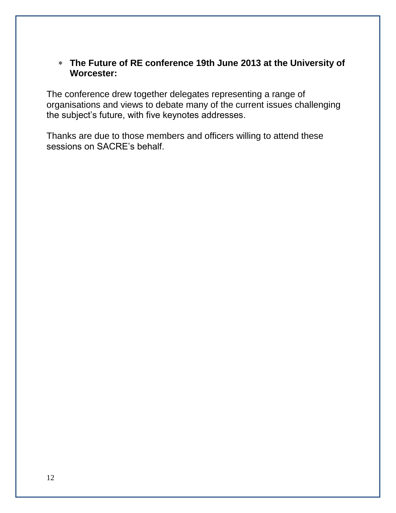**The Future of RE conference 19th June 2013 at the University of Worcester:**

The conference drew together delegates representing a range of organisations and views to debate many of the current issues challenging the subject's future, with five keynotes addresses.

Thanks are due to those members and officers willing to attend these sessions on SACRE's behalf.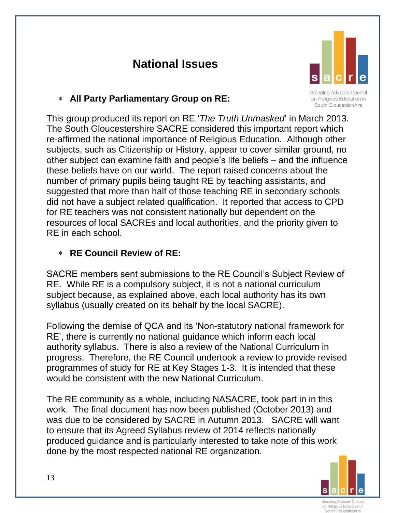# **National Issues**



**Standing Advisory Council** on Religious Education in South Gloucestershire

#### **All Party Parliamentary Group on RE:**

This group produced its report on RE '*The Truth Unmasked*' in March 2013. The South Gloucestershire SACRE considered this important report which re-affirmed the national importance of Religious Education. Although other subjects, such as Citizenship or History, appear to cover similar ground, no other subject can examine faith and people's life beliefs – and the influence these beliefs have on our world. The report raised concerns about the number of primary pupils being taught RE by teaching assistants, and suggested that more than half of those teaching RE in secondary schools did not have a subject related qualification. It reported that access to CPD for RE teachers was not consistent nationally but dependent on the resources of local SACREs and local authorities, and the priority given to RE in each school.

## **RE Council Review of RE:**

SACRE members sent submissions to the RE Council's Subject Review of RE. While RE is a compulsory subject, it is not a national curriculum subject because, as explained above, each local authority has its own syllabus (usually created on its behalf by the local SACRE).

Following the demise of QCA and its 'Non-statutory national framework for RE', there is currently no national guidance which inform each local authority syllabus. There is also a review of the National Curriculum in progress. Therefore, the RE Council undertook a review to provide revised programmes of study for RE at Key Stages 1-3. It is intended that these would be consistent with the new National Curriculum.

The RE community as a whole, including NASACRE, took part in in this work. The final document has now been published (October 2013) and was due to be considered by SACRE in Autumn 2013. SACRE will want to ensure that its Agreed Syllabus review of 2014 reflects nationally produced guidance and is particularly interested to take note of this work done by the most respected national RE organization.



on Religious Education in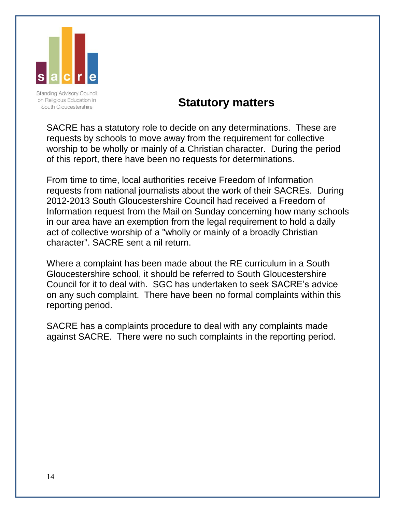

**Standing Advisory Council** on Religious Education in South Gloucestershire

## **Statutory matters**

SACRE has a statutory role to decide on any determinations. These are requests by schools to move away from the requirement for collective worship to be wholly or mainly of a Christian character. During the period of this report, there have been no requests for determinations.

From time to time, local authorities receive Freedom of Information requests from national journalists about the work of their SACREs. During 2012-2013 South Gloucestershire Council had received a Freedom of Information request from the Mail on Sunday concerning how many schools in our area have an exemption from the legal requirement to hold a daily act of collective worship of a "wholly or mainly of a broadly Christian character". SACRE sent a nil return.

Where a complaint has been made about the RE curriculum in a South Gloucestershire school, it should be referred to South Gloucestershire Council for it to deal with. SGC has undertaken to seek SACRE's advice on any such complaint. There have been no formal complaints within this reporting period.

SACRE has a complaints procedure to deal with any complaints made against SACRE. There were no such complaints in the reporting period.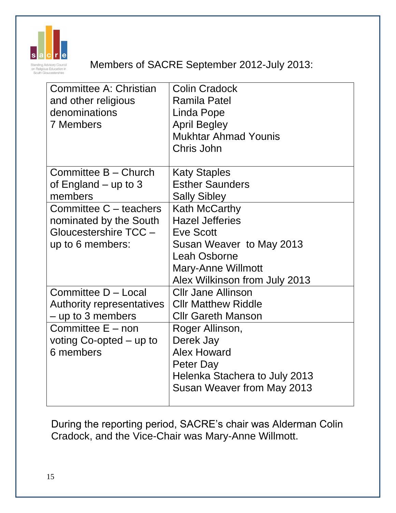

## Members of SACRE September 2012-July 2013:

| Committee A: Christian       | <b>Colin Cradock</b>          |
|------------------------------|-------------------------------|
| and other religious          | <b>Ramila Patel</b>           |
| denominations                | Linda Pope                    |
| <b>7 Members</b>             | <b>April Begley</b>           |
|                              | <b>Mukhtar Ahmad Younis</b>   |
|                              | Chris John                    |
|                              |                               |
| Committee B - Church         | <b>Katy Staples</b>           |
| of England $-$ up to 3       | <b>Esther Saunders</b>        |
| members                      | <b>Sally Sibley</b>           |
| Committee C – teachers       | Kath McCarthy                 |
| nominated by the South       | <b>Hazel Jefferies</b>        |
| Gloucestershire TCC -        | <b>Eve Scott</b>              |
| up to 6 members:             | Susan Weaver to May 2013      |
|                              | Leah Osborne                  |
|                              | Mary-Anne Willmott            |
|                              | Alex Wilkinson from July 2013 |
| Committee D - Local          | <b>Cllr Jane Allinson</b>     |
| Authority representatives    | <b>CIIr Matthew Riddle</b>    |
| $-$ up to 3 members          | <b>Cllr Gareth Manson</b>     |
| Committee E – non            | Roger Allinson,               |
| voting $Co$ -opted $-$ up to | Derek Jay                     |
| 6 members                    | <b>Alex Howard</b>            |
|                              | Peter Day                     |
|                              | Helenka Stachera to July 2013 |
|                              | Susan Weaver from May 2013    |
|                              |                               |

During the reporting period, SACRE's chair was Alderman Colin Cradock, and the Vice-Chair was Mary-Anne Willmott.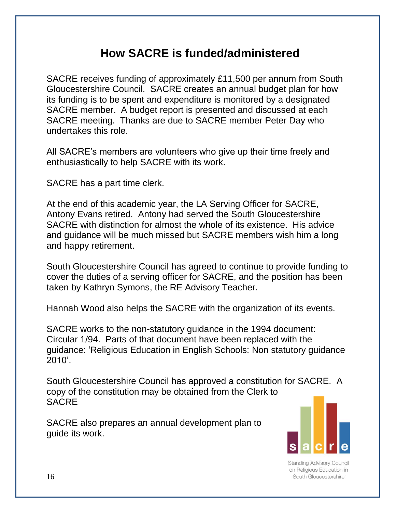# **How SACRE is funded/administered**

SACRE receives funding of approximately £11,500 per annum from South Gloucestershire Council. SACRE creates an annual budget plan for how its funding is to be spent and expenditure is monitored by a designated SACRE member. A budget report is presented and discussed at each SACRE meeting. Thanks are due to SACRE member Peter Day who undertakes this role.

All SACRE's members are volunteers who give up their time freely and enthusiastically to help SACRE with its work.

SACRE has a part time clerk.

At the end of this academic year, the LA Serving Officer for SACRE, Antony Evans retired. Antony had served the South Gloucestershire SACRE with distinction for almost the whole of its existence. His advice and guidance will be much missed but SACRE members wish him a long and happy retirement.

South Gloucestershire Council has agreed to continue to provide funding to cover the duties of a serving officer for SACRE, and the position has been taken by Kathryn Symons, the RE Advisory Teacher.

Hannah Wood also helps the SACRE with the organization of its events.

SACRE works to the non-statutory guidance in the 1994 document: Circular 1/94. Parts of that document have been replaced with the guidance: 'Religious Education in English Schools: Non statutory guidance 2010'.

South Gloucestershire Council has approved a constitution for SACRE. A copy of the constitution may be obtained from the Clerk to **SACRE** 

SACRE also prepares an annual development plan to guide its work.



**Standing Advisory Council** on Religious Education in South Gloucestershire